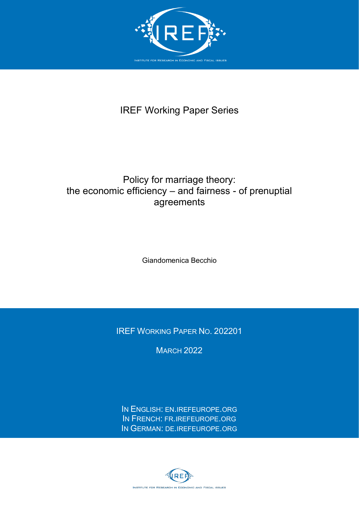

# IREF Working Paper Series

## Policy for marriage theory: the economic efficiency  $-$  and fairness - of prenuptial agreements

Giandomenica Becchio

IREF WORKING PAPER NO. 202201

**MARCH 2022** 

IN ENGLISH: [EN.IREFEUROPE.ORG](http://en.irefeurope.org/) IN FRENCH: [FR.IREFEUROPE.ORG](http://fr.irefeurope.org/) IN GERMAN: [DE.IREFEUROPE.ORG](http://de.irefeurope.org/)

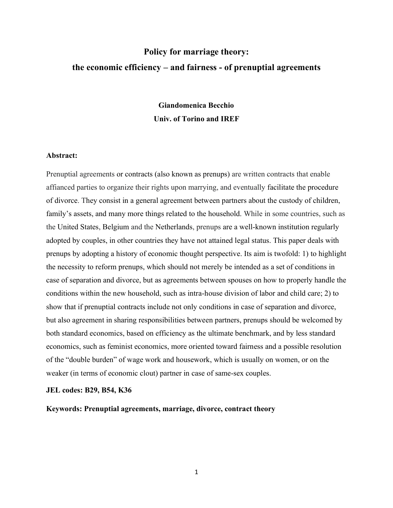# **Policy for marriage theory: the economic efficiency ± and fairness - of prenuptial agreements**

## **Giandomenica Becchio Univ. of Torino and IREF**

## **Abstract:**

Prenuptial agreements or contracts (also known as prenups) are written contracts that enable affianced parties to organize their rights upon marrying, and eventually facilitate the procedure of divorce. They consist in a general agreement between partners about the custody of children, family's assets, and many more things related to the household. While in some countries, such as the United States, Belgium and the Netherlands, prenups are a well-known institution regularly adopted by couples, in other countries they have not attained legal status. This paper deals with prenups by adopting a history of economic thought perspective. Its aim is twofold: 1) to highlight the necessity to reform prenups, which should not merely be intended as a set of conditions in case of separation and divorce, but as agreements between spouses on how to properly handle the conditions within the new household, such as intra-house division of labor and child care; 2) to show that if prenuptial contracts include not only conditions in case of separation and divorce, but also agreement in sharing responsibilities between partners, prenups should be welcomed by both standard economics, based on efficiency as the ultimate benchmark, and by less standard economics, such as feminist economics, more oriented toward fairness and a possible resolution of the "double burden" of wage work and housework, which is usually on women, or on the weaker (in terms of economic clout) partner in case of same-sex couples.

### **JEL codes: B29, B54, K36**

**Keywords: Prenuptial agreements, marriage, divorce, contract theory**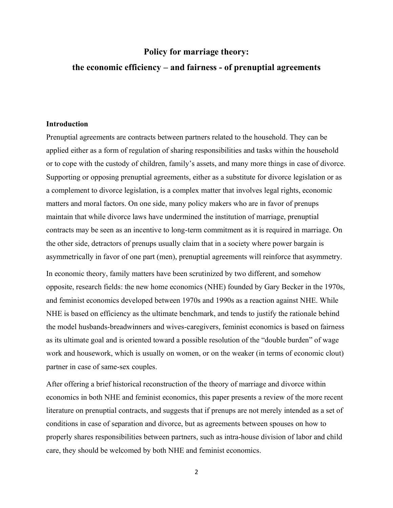## **Policy for marriage theory:**

## **the economic efficiency ± and fairness - of prenuptial agreements**

### **Introduction**

Prenuptial agreements are contracts between partners related to the household. They can be applied either as a form of regulation of sharing responsibilities and tasks within the household or to cope with the custody of children, family's assets, and many more things in case of divorce. Supporting or opposing prenuptial agreements, either as a substitute for divorce legislation or as a complement to divorce legislation, is a complex matter that involves legal rights, economic matters and moral factors. On one side, many policy makers who are in favor of prenups maintain that while divorce laws have undermined the institution of marriage, prenuptial contracts may be seen as an incentive to long-term commitment as it is required in marriage. On the other side, detractors of prenups usually claim that in a society where power bargain is asymmetrically in favor of one part (men), prenuptial agreements will reinforce that asymmetry.

In economic theory, family matters have been scrutinized by two different, and somehow opposite, research fields: the new home economics (NHE) founded by Gary Becker in the 1970s, and feminist economics developed between 1970s and 1990s as a reaction against NHE. While NHE is based on efficiency as the ultimate benchmark, and tends to justify the rationale behind the model husbands-breadwinners and wives-caregivers, feminist economics is based on fairness as its ultimate goal and is oriented toward a possible resolution of the "double burden" of wage work and housework, which is usually on women, or on the weaker (in terms of economic clout) partner in case of same-sex couples.

After offering a brief historical reconstruction of the theory of marriage and divorce within economics in both NHE and feminist economics, this paper presents a review of the more recent literature on prenuptial contracts, and suggests that if prenups are not merely intended as a set of conditions in case of separation and divorce, but as agreements between spouses on how to properly shares responsibilities between partners, such as intra-house division of labor and child care, they should be welcomed by both NHE and feminist economics.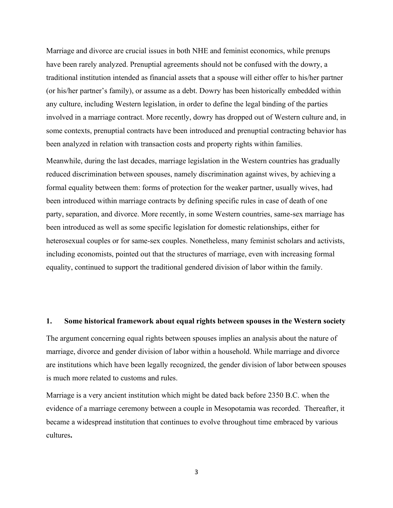Marriage and divorce are crucial issues in both NHE and feminist economics, while prenups have been rarely analyzed. Prenuptial agreements should not be confused with the dowry, a traditional institution intended as financial assets that a spouse will either offer to his/her partner (or his/her partner's family), or assume as a debt. Dowry has been historically embedded within any culture, including Western legislation, in order to define the legal binding of the parties involved in a marriage contract. More recently, dowry has dropped out of Western culture and, in some contexts, prenuptial contracts have been introduced and prenuptial contracting behavior has been analyzed in relation with transaction costs and property rights within families.

Meanwhile, during the last decades, marriage legislation in the Western countries has gradually reduced discrimination between spouses, namely discrimination against wives, by achieving a formal equality between them: forms of protection for the weaker partner, usually wives, had been introduced within marriage contracts by defining specific rules in case of death of one party, separation, and divorce. More recently, in some Western countries, same-sex marriage has been introduced as well as some specific legislation for domestic relationships, either for heterosexual couples or for same-sex couples. Nonetheless, many feminist scholars and activists, including economists, pointed out that the structures of marriage, even with increasing formal equality, continued to support the traditional gendered division of labor within the family.

### **1. Some historical framework about equal rights between spouses in the Western society**

The argument concerning equal rights between spouses implies an analysis about the nature of marriage, divorce and gender division of labor within a household. While marriage and divorce are institutions which have been legally recognized, the gender division of labor between spouses is much more related to customs and rules.

Marriage is a very ancient institution which might be dated back before 2350 B.C. when the evidence of a marriage ceremony between a couple in Mesopotamia was recorded. Thereafter, it became a widespread institution that continues to evolve throughout time embraced by various cultures**.**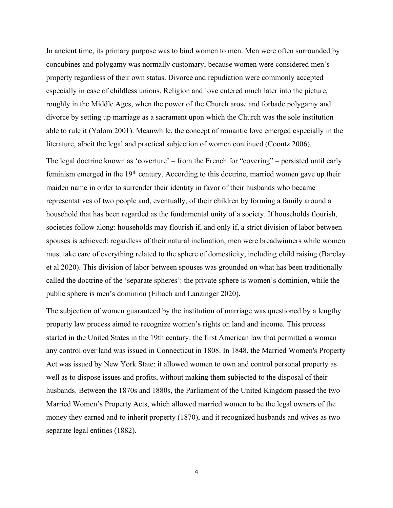In ancient time, its primary purpose was to bind women to men. Men were often surrounded by concubines and polygamy was normally customary, because women were considered men's property regardless of their own status. Divorce and repudiation were commonly accepted especially in case of childless unions. Religion and love entered much later into the picture, roughly in the Middle Ages, when the power of the Church arose and forbade polygamy and divorce by setting up marriage as a sacrament upon which the Church was the sole institution able to rule it (Yalom 2001). Meanwhile, the concept of romantic love emerged especially in the literature, albeit the legal and practical subjection of women continued (Coontz 2006).

The legal doctrine known as 'coverture' – from the French for "covering" – persisted until early feminism emerged in the 19<sup>th</sup> century. According to this doctrine, married women gave up their maiden name in order to surrender their identity in favor of their husbands who became representatives of two people and, eventually, of their children by forming a family around a household that has been regarded as the fundamental unity of a society. If households flourish, societies follow along: households may flourish if, and only if, a strict division of labor between spouses is achieved: regardless of their natural inclination, men were breadwinners while women must take care of everything related to the sphere of domesticity, including child raising (Barclay et al 2020). This division of labor between spouses was grounded on what has been traditionally called the doctrine of the 'separate spheres': the private sphere is women's dominion, while the public sphere is men's dominion (Eibach and Lanzinger 2020).

The subjection of women guaranteed by the institution of marriage was questioned by a lengthy property law process aimed to recognize women's rights on land and income. This process started in the United States in the 19th century: the first American law that permitted a woman any control over land was issued in Connecticut in 1808. In 1848, the Married Women's Property Act was issued by New York State: it allowed women to own and control personal property as well as to dispose issues and profits, without making them subjected to the disposal of their husbands. Between the 1870s and 1880s, the Parliament of the United Kingdom passed the two Married Women's Property Acts, which allowed married women to be the legal owners of the money they earned and to inherit property (1870), and it recognized husbands and wives as two separate legal entities (1882).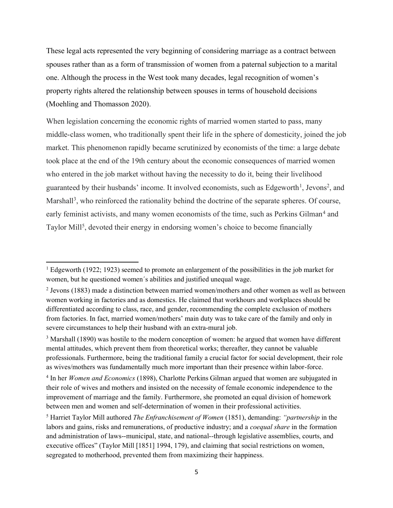These legal acts represented the very beginning of considering marriage as a contract between spouses rather than as a form of transmission of women from a paternal subjection to a marital one. Although the process in the West took many decades, legal recognition of women's property rights altered the relationship between spouses in terms of household decisions (Moehling and Thomasson 2020).

When legislation concerning the economic rights of married women started to pass, many middle-class women, who traditionally spent their life in the sphere of domesticity, joined the job market. This phenomenon rapidly became scrutinized by economists of the time: a large debate took place at the end of the 19th century about the economic consequences of married women who entered in the job market without having the necessity to do it, being their livelihood guaranteed by their husbands' income. It involved economists, such as Edgeworth<sup>1</sup>, Jevons<sup>2</sup>, and Marshall<sup>3</sup>, who reinforced the rationality behind the doctrine of the separate spheres. Of course, early feminist activists, and many women economists of the time, such as Perkins Gilman<sup>4</sup> and Taylor Mill<sup>5</sup>, devoted their energy in endorsing women's choice to become financially

<sup>&</sup>lt;sup>1</sup> Edgeworth (1922; 1923) seemed to promote an enlargement of the possibilities in the job market for women, but he questioned women´s abilities and justified unequal wage.

<sup>2</sup> Jevons (1883) made a distinction between married women/mothers and other women as well as between women working in factories and as domestics. He claimed that workhours and workplaces should be differentiated according to class, race, and gender, recommending the complete exclusion of mothers from factories. In fact, married women/mothers' main duty was to take care of the family and only in severe circumstances to help their husband with an extra-mural job.

<sup>&</sup>lt;sup>3</sup> Marshall (1890) was hostile to the modern conception of women: he argued that women have different mental attitudes, which prevent them from theoretical works; thereafter, they cannot be valuable professionals. Furthermore, being the traditional family a crucial factor for social development, their role as wives/mothers was fundamentally much more important than their presence within labor-force.

<sup>4</sup> In her *Women and Economics* (1898), Charlotte Perkins Gilman argued that women are subjugated in their role of wives and mothers and insisted on the necessity of female economic independence to the improvement of marriage and the family. Furthermore, she promoted an equal division of homework between men and women and self-determination of women in their professional activities.

<sup>5</sup> Harriet Taylor Mill authored *The Enfranchisement of Women* (1851), demanding: *³partnership* in the labors and gains, risks and remunerations, of productive industry; and a *coequal share* in the formation and administration of laws--municipal, state, and national--through legislative assemblies, courts, and executive offices" (Taylor Mill [1851] 1994, 179), and claiming that social restrictions on women, segregated to motherhood, prevented them from maximizing their happiness.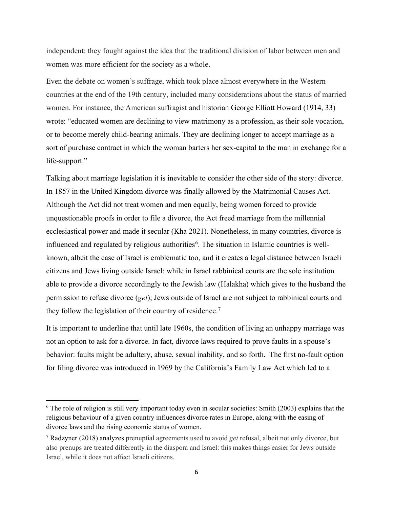independent: they fought against the idea that the traditional division of labor between men and women was more efficient for the society as a whole.

Even the debate on women's suffrage, which took place almost everywhere in the Western countries at the end of the 19th century, included many considerations about the status of married women. For instance, the American suffragist and historian George Elliott Howard (1914, 33) wrote: "educated women are declining to view matrimony as a profession, as their sole vocation, or to become merely child-bearing animals. They are declining longer to accept marriage as a sort of purchase contract in which the woman barters her sex-capital to the man in exchange for a  $life$ -support."

Talking about marriage legislation it is inevitable to consider the other side of the story: divorce. In 1857 in the United Kingdom divorce was finally allowed by the Matrimonial Causes Act. Although the Act did not treat women and men equally, being women forced to provide unquestionable proofs in order to file a divorce, the Act freed marriage from the millennial ecclesiastical power and made it secular (Kha 2021). Nonetheless, in many countries, divorce is influenced and regulated by religious authorities<sup>6</sup>. The situation in Islamic countries is wellknown, albeit the case of Israel is emblematic too, and it creates a legal distance between Israeli citizens and Jews living outside Israel: while in Israel rabbinical courts are the sole institution able to provide a divorce accordingly to the Jewish law (Halakha) which gives to the husband the permission to refuse divorce (*get*); Jews outside of Israel are not subject to rabbinical courts and they follow the legislation of their country of residence.<sup>7</sup>

It is important to underline that until late 1960s, the condition of living an unhappy marriage was not an option to ask for a divorce. In fact, divorce laws required to prove faults in a spouse's behavior: faults might be adultery, abuse, sexual inability, and so forth. The first no-fault option for filing divorce was introduced in 1969 by the California's Family Law Act which led to a

<sup>6</sup> The role of religion is still very important today even in secular societies: Smith (2003) explains that the religious behaviour of a given country influences divorce rates in Europe, along with the easing of divorce laws and the rising economic status of women.

<sup>7</sup> Radzyner (2018) analyzes prenuptial agreements used to avoid *get* refusal, albeit not only divorce, but also prenups are treated differently in the diaspora and Israel: this makes things easier for Jews outside Israel, while it does not affect Israeli citizens.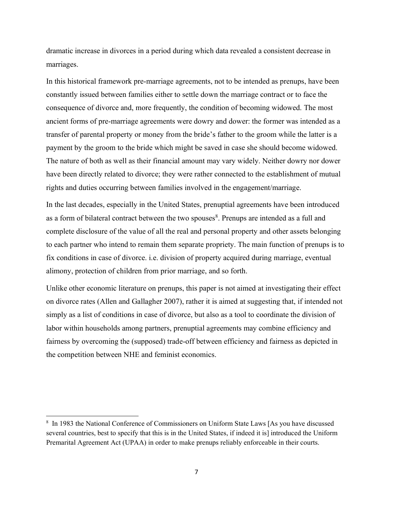dramatic increase in divorces in a period during which data revealed a consistent decrease in marriages.

In this historical framework pre-marriage agreements, not to be intended as prenups, have been constantly issued between families either to settle down the marriage contract or to face the consequence of divorce and, more frequently, the condition of becoming widowed. The most ancient forms of pre-marriage agreements were dowry and dower: the former was intended as a transfer of parental property or money from the bride's father to the groom while the latter is a payment by the groom to the bride which might be saved in case she should become widowed. The nature of both as well as their financial amount may vary widely. Neither dowry nor dower have been directly related to divorce; they were rather connected to the establishment of mutual rights and duties occurring between families involved in the engagement/marriage.

In the last decades, especially in the United States, prenuptial agreements have been introduced as a form of bilateral contract between the two spouses<sup>8</sup>. Prenups are intended as a full and complete disclosure of the value of all the real and personal property and other assets belonging to each partner who intend to remain them separate propriety. The main function of prenups is to fix conditions in case of divorce. i.e. division of property acquired during marriage, eventual alimony, protection of children from prior marriage, and so forth.

Unlike other economic literature on prenups, this paper is not aimed at investigating their effect on divorce rates (Allen and Gallagher 2007), rather it is aimed at suggesting that, if intended not simply as a list of conditions in case of divorce, but also as a tool to coordinate the division of labor within households among partners, prenuptial agreements may combine efficiency and fairness by overcoming the (supposed) trade-off between efficiency and fairness as depicted in the competition between NHE and feminist economics.

<sup>&</sup>lt;sup>8</sup> In 1983 the National Conference of Commissioners on Uniform State Laws [As you have discussed several countries, best to specify that this is in the United States, if indeed it is] introduced the Uniform Premarital Agreement Act (UPAA) in order to make prenups reliably enforceable in their courts.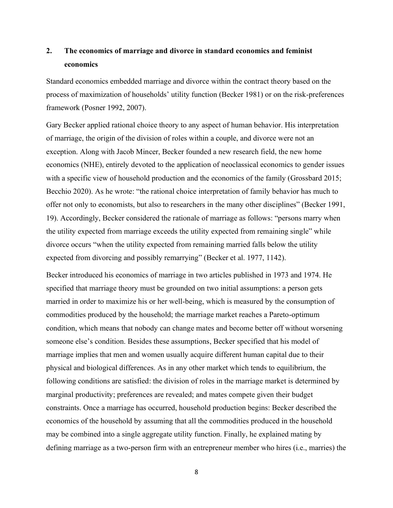## **2. The economics of marriage and divorce in standard economics and feminist economics**

Standard economics embedded marriage and divorce within the contract theory based on the process of maximization of households' utility function (Becker 1981) or on the risk-preferences framework (Posner 1992, 2007).

Gary Becker applied rational choice theory to any aspect of human behavior. His interpretation of marriage, the origin of the division of roles within a couple, and divorce were not an exception. Along with Jacob Mincer, Becker founded a new research field, the new home economics (NHE), entirely devoted to the application of neoclassical economics to gender issues with a specific view of household production and the economics of the family (Grossbard 2015; Becchio 2020). As he wrote: "the rational choice interpretation of family behavior has much to offer not only to economists, but also to researchers in the many other disciplines" (Becker 1991, 19). Accordingly, Becker considered the rationale of marriage as follows: "persons marry when the utility expected from marriage exceeds the utility expected from remaining single" while divorce occurs "when the utility expected from remaining married falls below the utility expected from divorcing and possibly remarrying" (Becker et al. 1977, 1142).

Becker introduced his economics of marriage in two articles published in 1973 and 1974. He specified that marriage theory must be grounded on two initial assumptions: a person gets married in order to maximize his or her well-being, which is measured by the consumption of commodities produced by the household; the marriage market reaches a Pareto-optimum condition, which means that nobody can change mates and become better off without worsening someone else's condition. Besides these assumptions, Becker specified that his model of marriage implies that men and women usually acquire different human capital due to their physical and biological differences. As in any other market which tends to equilibrium, the following conditions are satisfied: the division of roles in the marriage market is determined by marginal productivity; preferences are revealed; and mates compete given their budget constraints. Once a marriage has occurred, household production begins: Becker described the economics of the household by assuming that all the commodities produced in the household may be combined into a single aggregate utility function. Finally, he explained mating by defining marriage as a two-person firm with an entrepreneur member who hires (i.e., marries) the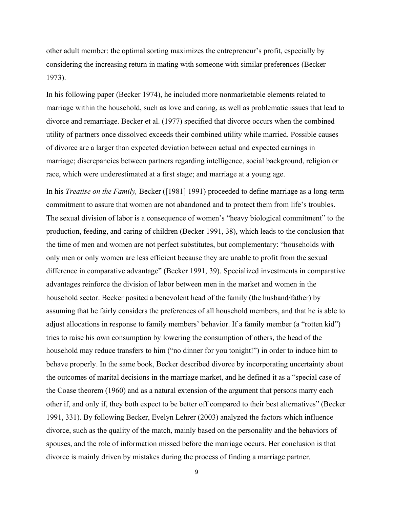other adult member: the optimal sorting maximizes the entrepreneur's profit, especially by considering the increasing return in mating with someone with similar preferences (Becker 1973).

In his following paper (Becker 1974), he included more nonmarketable elements related to marriage within the household, such as love and caring, as well as problematic issues that lead to divorce and remarriage. Becker et al. (1977) specified that divorce occurs when the combined utility of partners once dissolved exceeds their combined utility while married. Possible causes of divorce are a larger than expected deviation between actual and expected earnings in marriage; discrepancies between partners regarding intelligence, social background, religion or race, which were underestimated at a first stage; and marriage at a young age.

In his *Treatise on the Family,* Becker ([1981] 1991) proceeded to define marriage as a long-term commitment to assure that women are not abandoned and to protect them from life's troubles. The sexual division of labor is a consequence of women's "heavy biological commitment" to the production, feeding, and caring of children (Becker 1991, 38), which leads to the conclusion that the time of men and women are not perfect substitutes, but complementary: "households with only men or only women are less efficient because they are unable to profit from the sexual difference in comparative advantage" (Becker 1991, 39). Specialized investments in comparative advantages reinforce the division of labor between men in the market and women in the household sector. Becker posited a benevolent head of the family (the husband/father) by assuming that he fairly considers the preferences of all household members, and that he is able to adjust allocations in response to family members' behavior. If a family member (a "rotten kid") tries to raise his own consumption by lowering the consumption of others, the head of the household may reduce transfers to him ("no dinner for you tonight!") in order to induce him to behave properly. In the same book, Becker described divorce by incorporating uncertainty about the outcomes of marital decisions in the marriage market, and he defined it as a "special case of the Coase theorem (1960) and as a natural extension of the argument that persons marry each other if, and only if, they both expect to be better off compared to their best alternatives" (Becker 1991, 331). By following Becker, Evelyn Lehrer (2003) analyzed the factors which influence divorce, such as the quality of the match, mainly based on the personality and the behaviors of spouses, and the role of information missed before the marriage occurs. Her conclusion is that divorce is mainly driven by mistakes during the process of finding a marriage partner.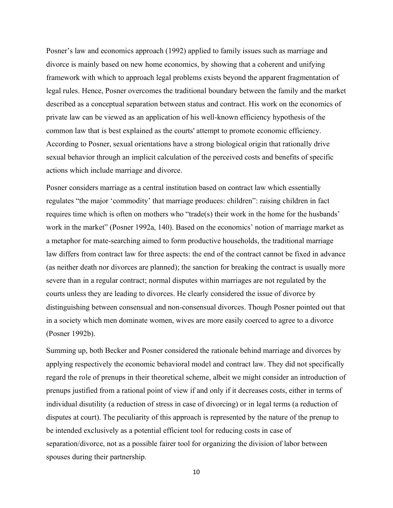Posner's law and economics approach (1992) applied to family issues such as marriage and divorce is mainly based on new home economics, by showing that a coherent and unifying framework with which to approach legal problems exists beyond the apparent fragmentation of legal rules. Hence, Posner overcomes the traditional boundary between the family and the market described as a conceptual separation between status and contract. His work on the economics of private law can be viewed as an application of his well-known efficiency hypothesis of the common law that is best explained as the courts' attempt to promote economic efficiency. According to Posner, sexual orientations have a strong biological origin that rationally drive sexual behavior through an implicit calculation of the perceived costs and benefits of specific actions which include marriage and divorce.

Posner considers marriage as a central institution based on contract law which essentially regulates "the major 'commodity' that marriage produces: children": raising children in fact requires time which is often on mothers who "trade(s) their work in the home for the husbands" work in the market" (Posner 1992a, 140). Based on the economics' notion of marriage market as a metaphor for mate-searching aimed to form productive households, the traditional marriage law differs from contract law for three aspects: the end of the contract cannot be fixed in advance (as neither death nor divorces are planned); the sanction for breaking the contract is usually more severe than in a regular contract; normal disputes within marriages are not regulated by the courts unless they are leading to divorces. He clearly considered the issue of divorce by distinguishing between consensual and non-consensual divorces. Though Posner pointed out that in a society which men dominate women, wives are more easily coerced to agree to a divorce (Posner 1992b).

Summing up, both Becker and Posner considered the rationale behind marriage and divorces by applying respectively the economic behavioral model and contract law. They did not specifically regard the role of prenups in their theoretical scheme, albeit we might consider an introduction of prenups justified from a rational point of view if and only if it decreases costs, either in terms of individual disutility (a reduction of stress in case of divorcing) or in legal terms (a reduction of disputes at court). The peculiarity of this approach is represented by the nature of the prenup to be intended exclusively as a potential efficient tool for reducing costs in case of separation/divorce, not as a possible fairer tool for organizing the division of labor between spouses during their partnership.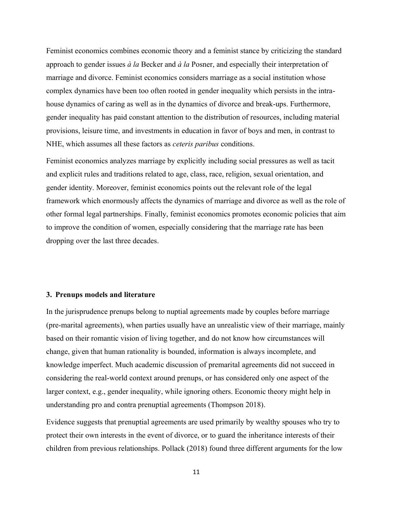Feminist economics combines economic theory and a feminist stance by criticizing the standard approach to gender issues *à la* Becker and *à la* Posner, and especially their interpretation of marriage and divorce. Feminist economics considers marriage as a social institution whose complex dynamics have been too often rooted in gender inequality which persists in the intrahouse dynamics of caring as well as in the dynamics of divorce and break-ups. Furthermore, gender inequality has paid constant attention to the distribution of resources, including material provisions, leisure time, and investments in education in favor of boys and men, in contrast to NHE, which assumes all these factors as *ceteris paribus* conditions.

Feminist economics analyzes marriage by explicitly including social pressures as well as tacit and explicit rules and traditions related to age, class, race, religion, sexual orientation, and gender identity. Moreover, feminist economics points out the relevant role of the legal framework which enormously affects the dynamics of marriage and divorce as well as the role of other formal legal partnerships. Finally, feminist economics promotes economic policies that aim to improve the condition of women, especially considering that the marriage rate has been dropping over the last three decades.

#### **3. Prenups models and literature**

In the jurisprudence prenups belong to nuptial agreements made by couples before marriage (pre-marital agreements), when parties usually have an unrealistic view of their marriage, mainly based on their romantic vision of living together, and do not know how circumstances will change, given that human rationality is bounded, information is always incomplete, and knowledge imperfect. Much academic discussion of premarital agreements did not succeed in considering the real-world context around prenups, or has considered only one aspect of the larger context, e.g., gender inequality, while ignoring others. Economic theory might help in understanding pro and contra prenuptial agreements (Thompson 2018).

Evidence suggests that prenuptial agreements are used primarily by wealthy spouses who try to protect their own interests in the event of divorce, or to guard the inheritance interests of their children from previous relationships. Pollack (2018) found three different arguments for the low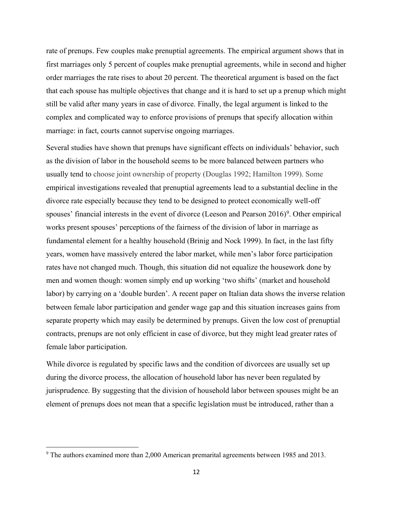rate of prenups. Few couples make prenuptial agreements. The empirical argument shows that in first marriages only 5 percent of couples make prenuptial agreements, while in second and higher order marriages the rate rises to about 20 percent. The theoretical argument is based on the fact that each spouse has multiple objectives that change and it is hard to set up a prenup which might still be valid after many years in case of divorce. Finally, the legal argument is linked to the complex and complicated way to enforce provisions of prenups that specify allocation within marriage: in fact, courts cannot supervise ongoing marriages.

Several studies have shown that prenups have significant effects on individuals' behavior, such as the division of labor in the household seems to be more balanced between partners who usually tend to choose joint ownership of property (Douglas 1992; Hamilton 1999). Some empirical investigations revealed that prenuptial agreements lead to a substantial decline in the divorce rate especially because they tend to be designed to protect economically well-off spouses' financial interests in the event of divorce (Leeson and Pearson  $2016$ )<sup>9</sup>. Other empirical works present spouses' perceptions of the fairness of the division of labor in marriage as fundamental element for a healthy household (Brinig and Nock 1999). In fact, in the last fifty years, women have massively entered the labor market, while men's labor force participation rates have not changed much. Though, this situation did not equalize the housework done by men and women though: women simply end up working 'two shifts' (market and household labor) by carrying on a 'double burden'. A recent paper on Italian data shows the inverse relation between female labor participation and gender wage gap and this situation increases gains from separate property which may easily be determined by prenups. Given the low cost of prenuptial contracts, prenups are not only efficient in case of divorce, but they might lead greater rates of female labor participation.

While divorce is regulated by specific laws and the condition of divorcees are usually set up during the divorce process, the allocation of household labor has never been regulated by jurisprudence. By suggesting that the division of household labor between spouses might be an element of prenups does not mean that a specific legislation must be introduced, rather than a

<sup>9</sup> The authors examined more than 2,000 American premarital agreements between 1985 and 2013.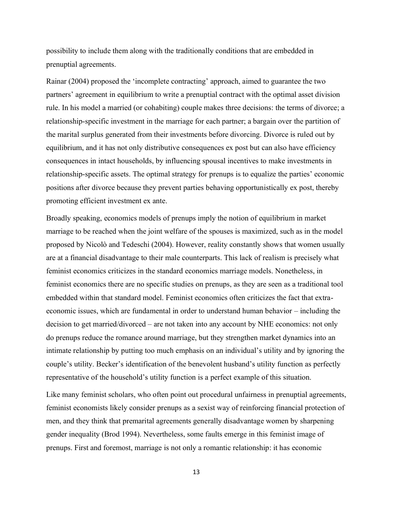possibility to include them along with the traditionally conditions that are embedded in prenuptial agreements.

Rainar (2004) proposed the 'incomplete contracting' approach, aimed to guarantee the two partners' agreement in equilibrium to write a prenuptial contract with the optimal asset division rule. In his model a married (or cohabiting) couple makes three decisions: the terms of divorce; a relationship-specific investment in the marriage for each partner; a bargain over the partition of the marital surplus generated from their investments before divorcing. Divorce is ruled out by equilibrium, and it has not only distributive consequences ex post but can also have efficiency consequences in intact households, by influencing spousal incentives to make investments in relationship-specific assets. The optimal strategy for prenups is to equalize the parties' economic positions after divorce because they prevent parties behaving opportunistically ex post, thereby promoting efficient investment ex ante.

Broadly speaking, economics models of prenups imply the notion of equilibrium in market marriage to be reached when the joint welfare of the spouses is maximized, such as in the model proposed by Nicolò and Tedeschi (2004). However, reality constantly shows that women usually are at a financial disadvantage to their male counterparts. This lack of realism is precisely what feminist economics criticizes in the standard economics marriage models. Nonetheless, in feminist economics there are no specific studies on prenups, as they are seen as a traditional tool embedded within that standard model. Feminist economics often criticizes the fact that extraeconomic issues, which are fundamental in order to understand human behavior – including the decision to get married/divorced – are not taken into any account by NHE economics: not only do prenups reduce the romance around marriage, but they strengthen market dynamics into an intimate relationship by putting too much emphasis on an individual's utility and by ignoring the couple's utility. Becker's identification of the benevolent husband's utility function as perfectly representative of the household's utility function is a perfect example of this situation.

Like many feminist scholars, who often point out procedural unfairness in prenuptial agreements, feminist economists likely consider prenups as a sexist way of reinforcing financial protection of men, and they think that premarital agreements generally disadvantage women by sharpening gender inequality (Brod 1994). Nevertheless, some faults emerge in this feminist image of prenups. First and foremost, marriage is not only a romantic relationship: it has economic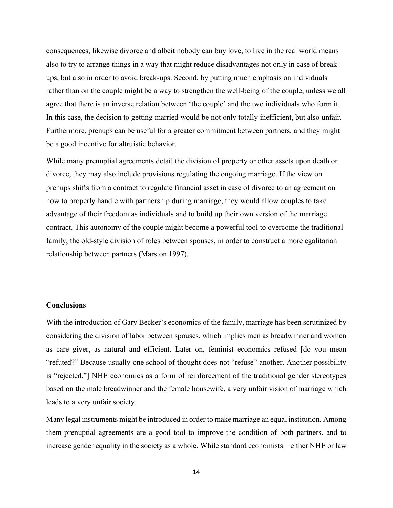consequences, likewise divorce and albeit nobody can buy love, to live in the real world means also to try to arrange things in a way that might reduce disadvantages not only in case of breakups, but also in order to avoid break-ups. Second, by putting much emphasis on individuals rather than on the couple might be a way to strengthen the well-being of the couple, unless we all agree that there is an inverse relation between 'the couple' and the two individuals who form it. In this case, the decision to getting married would be not only totally inefficient, but also unfair. Furthermore, prenups can be useful for a greater commitment between partners, and they might be a good incentive for altruistic behavior.

While many prenuptial agreements detail the division of property or other assets upon death or divorce, they may also include provisions regulating the ongoing marriage. If the view on prenups shifts from a contract to regulate financial asset in case of divorce to an agreement on how to properly handle with partnership during marriage, they would allow couples to take advantage of their freedom as individuals and to build up their own version of the marriage contract. This autonomy of the couple might become a powerful tool to overcome the traditional family, the old-style division of roles between spouses, in order to construct a more egalitarian relationship between partners (Marston 1997).

### **Conclusions**

With the introduction of Gary Becker's economics of the family, marriage has been scrutinized by considering the division of labor between spouses, which implies men as breadwinner and women as care giver, as natural and efficient. Later on, feminist economics refused [do you mean "refuted?" Because usually one school of thought does not "refuse" another. Another possibility is "rejected." NHE economics as a form of reinforcement of the traditional gender stereotypes based on the male breadwinner and the female housewife, a very unfair vision of marriage which leads to a very unfair society.

Many legal instruments might be introduced in order to make marriage an equal institution. Among them prenuptial agreements are a good tool to improve the condition of both partners, and to increase gender equality in the society as a whole. While standard economists – either NHE or law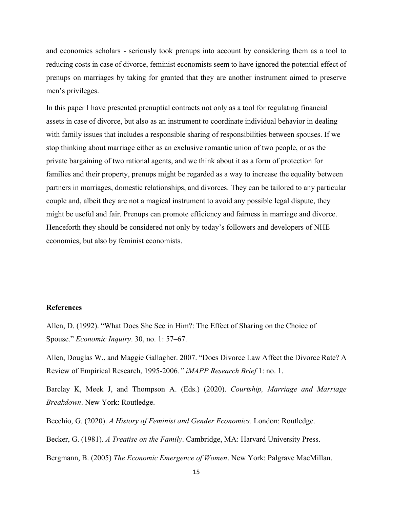and economics scholars - seriously took prenups into account by considering them as a tool to reducing costs in case of divorce, feminist economists seem to have ignored the potential effect of prenups on marriages by taking for granted that they are another instrument aimed to preserve men's privileges.

In this paper I have presented prenuptial contracts not only as a tool for regulating financial assets in case of divorce, but also as an instrument to coordinate individual behavior in dealing with family issues that includes a responsible sharing of responsibilities between spouses. If we stop thinking about marriage either as an exclusive romantic union of two people, or as the private bargaining of two rational agents, and we think about it as a form of protection for families and their property, prenups might be regarded as a way to increase the equality between partners in marriages, domestic relationships, and divorces. They can be tailored to any particular couple and, albeit they are not a magical instrument to avoid any possible legal dispute, they might be useful and fair. Prenups can promote efficiency and fairness in marriage and divorce. Henceforth they should be considered not only by today's followers and developers of NHE economics, but also by feminist economists.

### **References**

Allen, D. (1992). "What Does She See in Him?: The Effect of Sharing on the Choice of Spouse." *Economic Inquiry*. 30, no. 1: 57–67.

Allen, Douglas W., and Maggie Gallagher. 2007. "Does Divorce Law Affect the Divorce Rate? A Review of Empirical Research, 1995-2006*´ iMAPP Research Brief* 1: no. 1.

Barclay K, Meek J, and Thompson A. (Eds.) (2020). *Courtship, Marriage and Marriage Breakdown*. New York: Routledge.

Becchio, G. (2020). *A History of Feminist and Gender Economics*. London: Routledge.

Becker, G. (1981). *A Treatise on the Family*. Cambridge, MA: Harvard University Press.

Bergmann, B. (2005) *The Economic Emergence of Women*. New York: Palgrave MacMillan.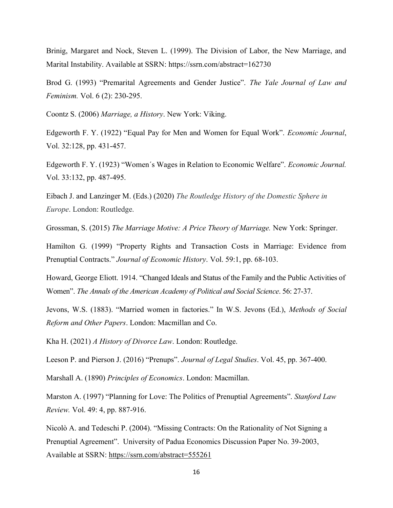Brinig, Margaret and Nock, Steven L. (1999). The Division of Labor, the New Marriage, and Marital Instability. Available at SSRN: https://ssrn.com/abstract=162730

Brod G. (1993) "Premarital Agreements and Gender Justice". *The Yale Journal of Law and Feminism.* Vol. 6 (2): 230-295.

Coontz S. (2006) *Marriage, a History*. New York: Viking.

Edgeworth F. Y. (1922) "Equal Pay for Men and Women for Equal Work". *Economic Journal*, Vol. 32:128, pp. 431-457.

Edgeworth F. Y. (1923) "Women's Wages in Relation to Economic Welfare". *Economic Journal.* Vol. 33:132, pp. 487-495.

Eibach J. and Lanzinger M. (Eds.) (2020) *The Routledge History of the Domestic Sphere in Europe*. London: Routledge.

Grossman, S. (2015) *The Marriage Motive: A Price Theory of Marriage.* New York: Springer.

Hamilton G. (1999) "Property Rights and Transaction Costs in Marriage: Evidence from Prenuptial Contracts." Journal of Economic History. Vol. 59:1, pp. 68-103.

Howard, George Eliott. 1914. "Changed Ideals and Status of the Family and the Public Activities of Women". The Annals of the American Academy of Political and Social Science. 56: 27-37.

Jevons, W.S. (1883). "Married women in factories." In W.S. Jevons (Ed.), *Methods of Social Reform and Other Papers*. London: Macmillan and Co.

Kha H. (2021) *A History of Divorce Law*. London: Routledge.

Leeson P. and Pierson J. (2016) "Prenups". Journal of Legal Studies. Vol. 45, pp. 367-400.

Marshall A. (1890) *Principles of Economics*. London: Macmillan.

Marston A. (1997) "Planning for Love: The Politics of Prenuptial Agreements". Stanford Law *Review.* Vol. 49: 4, pp. 887-916.

Nicolò A. and Tedeschi P. (2004). "Missing Contracts: On the Rationality of Not Signing a Prenuptial Agreement". University of Padua Economics Discussion Paper No. 39-2003, Available at SSRN: <https://ssrn.com/abstract=555261>